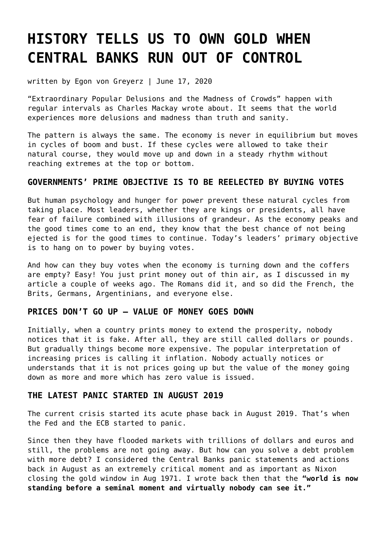# **[HISTORY TELLS US TO OWN GOLD WHEN](https://goldswitzerland.com/history-tells-us-to-own-gold-when-central-banks-run-out-of-control/) [CENTRAL BANKS RUN OUT OF CONTROL](https://goldswitzerland.com/history-tells-us-to-own-gold-when-central-banks-run-out-of-control/)**

written by Egon von Greyerz | June 17, 2020

"Extraordinary Popular Delusions and the Madness of Crowds" happen with regular intervals as Charles Mackay wrote about. It seems that the world experiences more delusions and madness than truth and sanity.

The pattern is always the same. The economy is never in equilibrium but moves in cycles of boom and bust. If these cycles were allowed to take their natural course, they would move up and down in a steady rhythm without reaching extremes at the top or bottom.

# **GOVERNMENTS' PRIME OBJECTIVE IS TO BE REELECTED BY BUYING VOTES**

But human psychology and hunger for power prevent these natural cycles from taking place. Most leaders, whether they are kings or presidents, all have fear of failure combined with illusions of grandeur. As the economy peaks and the good times come to an end, they know that the best chance of not being ejected is for the good times to continue. Today's leaders' primary objective is to hang on to power by buying votes.

And how can they buy votes when the economy is turning down and the coffers are empty? Easy! You just print money out of thin air, as I discussed in [my](https://goldswitzerland.com/silver-will-explode-and-fake-money-collapse-like-in-3rd-c/) [article a couple of weeks ago.](https://goldswitzerland.com/silver-will-explode-and-fake-money-collapse-like-in-3rd-c/) The Romans did it, and so did the French, the Brits, Germans, Argentinians, and everyone else.

## **PRICES DON'T GO UP – VALUE OF MONEY GOES DOWN**

Initially, when a country prints money to extend the prosperity, nobody notices that it is fake. After all, they are still called dollars or pounds. But gradually things become more expensive. The popular interpretation of increasing prices is calling it inflation. Nobody actually notices or understands that it is not prices going up but the value of the money going down as more and more which has zero value is issued.

## **THE LATEST PANIC STARTED IN AUGUST 2019**

The current crisis started its acute phase back in August 2019. That's when the Fed and the ECB started to panic.

Since then they have flooded markets with trillions of dollars and euros and still, the problems are not going away. But how can you solve a debt problem with more debt? I considered the Central Banks panic statements and actions back in August as an extremely critical moment and as important as Nixon closing the gold window in Aug 1971. I wrote back then that the **"[world is now](https://goldswitzerland.com/the-decay-and-decline-of-the-whole-capitalist-system/) [standing before a seminal moment and virtually nobody can see it."](https://goldswitzerland.com/the-decay-and-decline-of-the-whole-capitalist-system/)**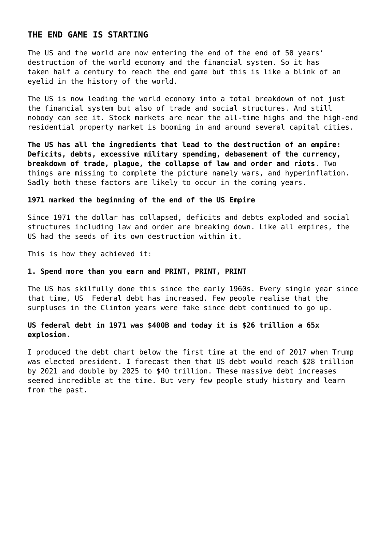## **THE END GAME IS STARTING**

The US and the world are now entering the end of the end of 50 years' destruction of the world economy and the financial system. So it has taken half a century to reach the end game but this is like a blink of an eyelid in the history of the world.

The US is now leading the world economy into a total breakdown of not just the financial system but also of trade and social structures. And still nobody can see it. Stock markets are near the all-time highs and the high-end residential property market is booming in and around several capital cities.

**The US has all the ingredients that lead to the destruction of an empire: Deficits, debts, excessive military spending, debasement of the currency, breakdown of trade, plague, the collapse of law and order and riots**. Two things are missing to complete the picture namely wars, and hyperinflation. Sadly both these factors are likely to occur in the coming years.

#### **1971 marked the beginning of the end of the US Empire**

Since 1971 the dollar has collapsed, deficits and debts exploded and social structures including law and order are breaking down. Like all empires, the US had the seeds of its own destruction within it.

This is how they achieved it:

#### **1. Spend more than you earn and PRINT, PRINT, PRINT**

The US has skilfully done this since the early 1960s. Every single year since that time, US Federal debt has increased. Few people realise that the surpluses in the Clinton years were fake since debt continued to go up.

## **US federal debt in 1971 was \$400B and today it is \$26 trillion a 65x explosion.**

I produced the debt chart below the first time at the end of 2017 when Trump was elected president. I forecast then that US debt would reach \$28 trillion by 2021 and double by 2025 to \$40 trillion. These massive debt increases seemed incredible at the time. But very few people study history and learn from the past.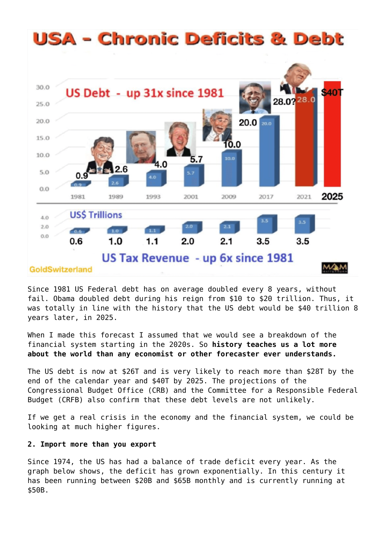

Since 1981 US Federal debt has on average doubled every 8 years, without fail. Obama doubled debt during his reign from \$10 to \$20 trillion. Thus, it was totally in line with the history that the US debt would be \$40 trillion 8 years later, in 2025.

When I made this forecast I assumed that we would see a breakdown of the financial system starting in the 2020s. So **history teaches us a lot more about the world than any economist or other forecaster ever understands.**

The US debt is now at \$26T and is very likely to reach more than \$28T by the end of the calendar year and \$40T by 2025. The projections of the Congressional Budget Office (CRB) and the Committee for a Responsible Federal Budget (CRFB) also confirm that these debt levels are not unlikely.

If we get a real crisis in the economy and the financial system, we could be looking at much higher figures.

#### **2. Import more than you export**

Since 1974, the US has had a balance of trade deficit every year. As the graph below shows, the deficit has grown exponentially. In this century it has been running between \$20B and \$65B monthly and is currently running at \$50B.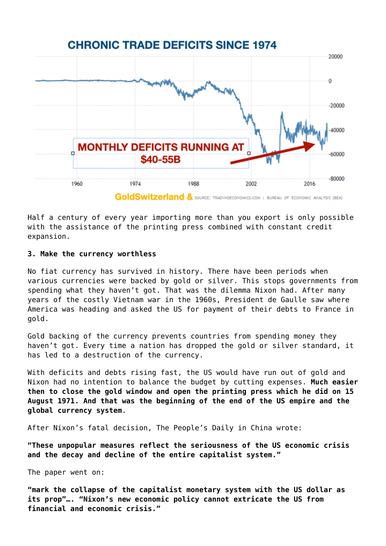# **CHRONIC TRADE DEFICITS SINCE 1974**



Half a century of every year importing more than you export is only possible with the assistance of the printing press combined with constant credit expansion.

#### **3. Make the currency worthless**

No fiat currency has survived in history. There have been periods when various currencies were backed by gold or silver. This stops governments from spending what they haven't got. That was the dilemma Nixon had. After many years of the costly Vietnam war in the 1960s, President de Gaulle saw where America was heading and asked the US for payment of their debts to France in gold.

Gold backing of the currency prevents countries from spending money they haven't got. Every time a nation has dropped the gold or silver standard, it has led to a destruction of the currency.

With deficits and debts rising fast, the US would have run out of gold and Nixon had no intention to balance the budget by cutting expenses. **Much easier then to close the gold window and open the printing press which he did on 15 August 1971. And that was the beginning of the end of the US empire and the global currency system**.

After Nixon's fatal decision, The People's Daily in China wrote:

**"These unpopular measures reflect the seriousness of the US economic crisis and the decay and decline of the entire capitalist system."**

The paper went on:

**"mark the collapse of the capitalist monetary system with the US dollar as its prop"…. "Nixon's new economic policy cannot extricate the US from financial and economic crisis."**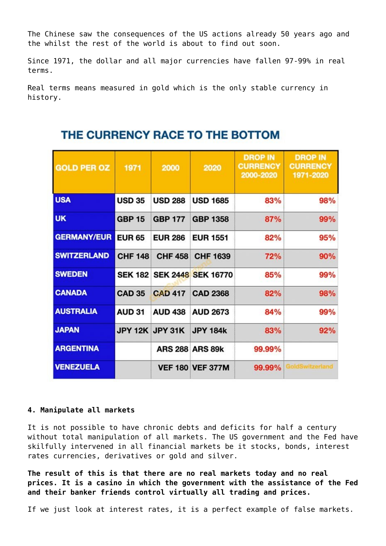The Chinese saw the consequences of the US actions already 50 years ago and the whilst the rest of the world is about to find out soon.

Since 1971, the dollar and all major currencies have fallen 97-99% in real terms.

Real terms means measured in gold which is the only stable currency in history.

| <b>GOLD PER OZ</b> | 1971           | 2000            | 2020                       | <b>DROP IN</b><br><b>CURRENCY</b><br>2000-2020 | <b>DROP IN</b><br><b>CURRENCY</b><br>1971-2020 |
|--------------------|----------------|-----------------|----------------------------|------------------------------------------------|------------------------------------------------|
| <b>USA</b>         | <b>USD 35</b>  | <b>USD 288</b>  | <b>USD 1685</b>            | 83%                                            | 98%                                            |
| <b>UK</b>          | <b>GBP 15</b>  | <b>GBP 177</b>  | <b>GBP 1358</b>            | 87%                                            | 99%                                            |
| <b>GERMANY/EUR</b> | <b>EUR 65</b>  | <b>EUR 286</b>  | <b>EUR 1551</b>            | 82%                                            | 95%                                            |
| <b>SWITZERLAND</b> | <b>CHF 148</b> | <b>CHF 458</b>  | <b>CHF 1639</b>            | 72%                                            | 90%                                            |
| <b>SWEDEN</b>      |                |                 | SEK 182 SEK 2448 SEK 16770 | 85%                                            | 99%                                            |
| <b>CANADA</b>      | <b>CAD 35</b>  | <b>CAD 417</b>  | <b>CAD 2368</b>            | 82%                                            | 98%                                            |
| <b>AUSTRALIA</b>   | <b>AUD 31</b>  | <b>AUD 438</b>  | <b>AUD 2673</b>            | 84%                                            | 99%                                            |
| <b>JAPAN</b>       |                | JPY 12K JPY 31K | <b>JPY 184k</b>            | 83%                                            | 92%                                            |
| <b>ARGENTINA</b>   |                |                 | <b>ARS 288 ARS 89k</b>     | 99.99%                                         |                                                |
| <b>VENEZUELA</b>   |                |                 | <b>VEF 180 VEF 377M</b>    | 99.99%                                         | <b>oldSwitzerland</b>                          |

# THE CURRENCY RACE TO THE BOTTOM

#### **4. Manipulate all markets**

It is not possible to have chronic debts and deficits for half a century without total manipulation of all markets. The US government and the Fed have skilfully intervened in all financial markets be it stocks, bonds, interest rates currencies, derivatives or gold and silver.

**The result of this is that there are no real markets today and no real prices. It is a casino in which the government with the assistance of the Fed and their banker friends control virtually all trading and prices.**

If we just look at interest rates, it is a perfect example of false markets.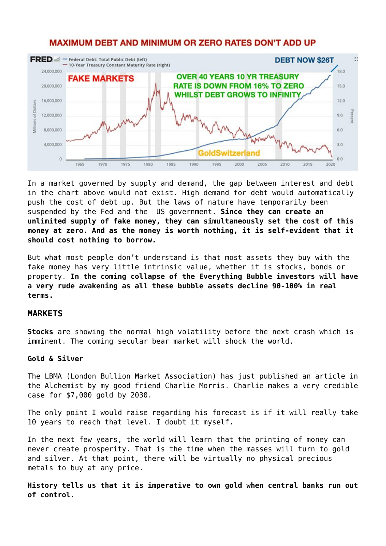

# **MAXIMUM DEBT AND MINIMUM OR ZERO RATES DON'T ADD UP**

In a market governed by supply and demand, the gap between interest and debt in the chart above would not exist. High demand for debt would automatically push the cost of debt up. But the laws of nature have temporarily been suspended by the Fed and the US government. **Since they can create an unlimited supply of fake money, they can simultaneously set the cost of this money at zero. And as the money is worth nothing, it is self-evident that it should cost nothing to borrow.**

But what most people don't understand is that most assets they buy with the fake money has very little intrinsic value, whether it is stocks, bonds or property. **In the coming collapse of the Everything Bubble investors will have a very rude awakening as all these bubble assets decline 90-100% in real terms.**

#### **MARKETS**

**Stocks** are showing the normal high volatility before the next crash which is imminent. The coming secular bear market will shock the world.

#### **Gold & Silver**

The LBMA (London Bullion Market Association) has just published [an article in](http://www.lbma.org.uk/assets/Alchemist/Alchemist_97/Alch97Morris.pdf?_cldee=cm9zcy5hLm5vcm1hbkBtZS5jb20=&recipientid=contact-0f46f9024fa4e71180d6005056b11ceb-dd64fce5d8e44249852f4e7fd82f80e2&esid=9e671486-30a0-ea11-80f9-005056b11ceb) [the Alchemist by my good friend Charlie Morris](http://www.lbma.org.uk/assets/Alchemist/Alchemist_97/Alch97Morris.pdf?_cldee=cm9zcy5hLm5vcm1hbkBtZS5jb20=&recipientid=contact-0f46f9024fa4e71180d6005056b11ceb-dd64fce5d8e44249852f4e7fd82f80e2&esid=9e671486-30a0-ea11-80f9-005056b11ceb). Charlie makes a very credible case for \$7,000 gold by 2030.

The only point I would raise regarding his forecast is if it will really take 10 years to reach that level. I doubt it myself.

In the next few years, the world will learn that the printing of money can never create prosperity. That is the time when the masses will turn to gold and silver. At that point, there will be virtually no physical precious metals to buy at any price.

**History tells us that it is imperative to own gold when central banks run out of control.**